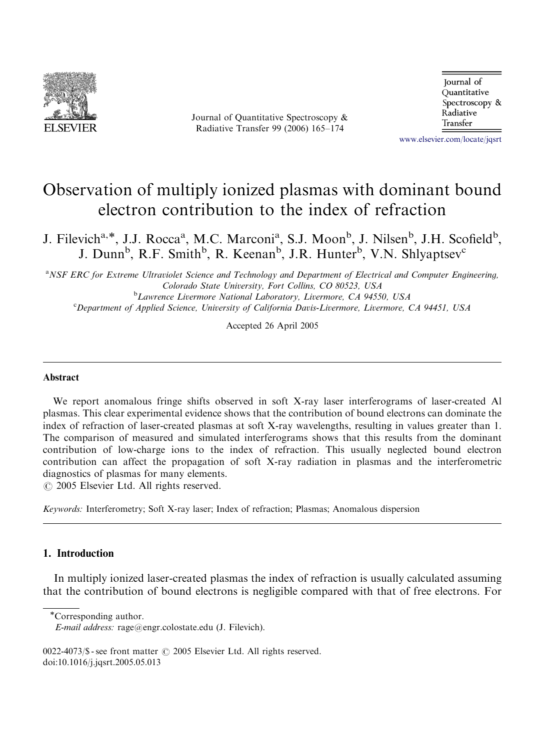

Journal of Quantitative Spectroscopy & Radiative Transfer 99 (2006) 165–174

Journal of Ouantitative Spectroscopy & Radiative Transfer

<www.elsevier.com/locate/jqsrt>

# Observation of multiply ionized plasmas with dominant bound electron contribution to the index of refraction

J. Filevich<sup>a,\*</sup>, J.J. Rocca<sup>a</sup>, M.C. Marconi<sup>a</sup>, S.J. Moon<sup>b</sup>, J. Nilsen<sup>b</sup>, J.H. Scofield<sup>b</sup>, J. Dunn<sup>b</sup>, R.F. Smith<sup>b</sup>, R. Keenan<sup>b</sup>, J.R. Hunter<sup>b</sup>, V.N. Shlyaptsev<sup>c</sup>

<sup>a</sup>NSF ERC for Extreme Ultraviolet Science and Technology and Department of Electrical and Computer Engineering, Colorado State University, Fort Collins, CO 80523, USA <sup>b</sup> <sup>b</sup>Lawrence Livermore National Laboratory, Livermore, CA 94550, USA

<sup>c</sup>Department of Applied Science, University of California Davis-Livermore, Livermore, CA 94451, USA

Accepted 26 April 2005

### Abstract

We report anomalous fringe shifts observed in soft X-ray laser interferograms of laser-created Al plasmas. This clear experimental evidence shows that the contribution of bound electrons can dominate the index of refraction of laser-created plasmas at soft X-ray wavelengths, resulting in values greater than 1. The comparison of measured and simulated interferograms shows that this results from the dominant contribution of low-charge ions to the index of refraction. This usually neglected bound electron contribution can affect the propagation of soft X-ray radiation in plasmas and the interferometric diagnostics of plasmas for many elements.

 $\odot$  2005 Elsevier Ltd. All rights reserved.

Keywords: Interferometry; Soft X-ray laser; Index of refraction; Plasmas; Anomalous dispersion

# 1. Introduction

In multiply ionized laser-created plasmas the index of refraction is usually calculated assuming that the contribution of bound electrons is negligible compared with that of free electrons. For

Corresponding author.

 $0022-4073$ /\$ - see front matter  $\odot$  2005 Elsevier Ltd. All rights reserved. doi:10.1016/j.jqsrt.2005.05.013

E-mail address: rage@engr.colostate.edu (J. Filevich).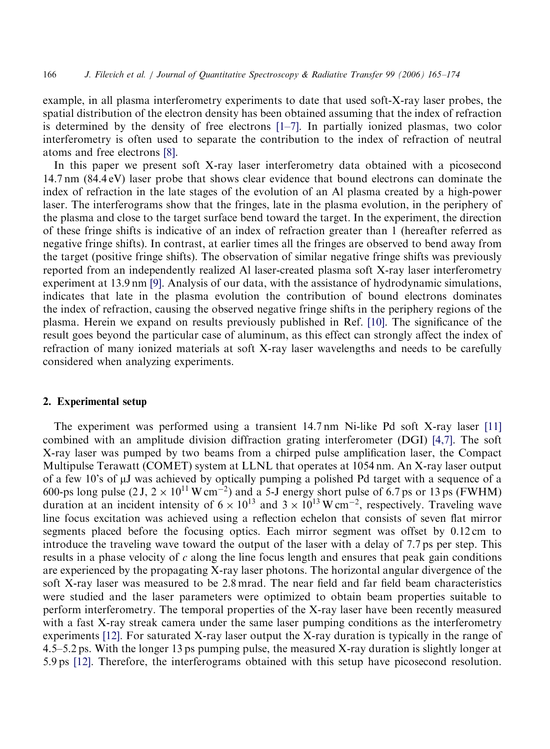example, in all plasma interferometry experiments to date that used soft-X-ray laser probes, the spatial distribution of the electron density has been obtained assuming that the index of refraction is determined by the density of free electrons [\[1–7\].](#page-9-0) In partially ionized plasmas, two color interferometry is often used to separate the contribution to the index of refraction of neutral atoms and free electrons [\[8\]](#page-9-0).

In this paper we present soft X-ray laser interferometry data obtained with a picosecond 14.7 nm (84.4 eV) laser probe that shows clear evidence that bound electrons can dominate the index of refraction in the late stages of the evolution of an Al plasma created by a high-power laser. The interferograms show that the fringes, late in the plasma evolution, in the periphery of the plasma and close to the target surface bend toward the target. In the experiment, the direction of these fringe shifts is indicative of an index of refraction greater than 1 (hereafter referred as negative fringe shifts). In contrast, at earlier times all the fringes are observed to bend away from the target (positive fringe shifts). The observation of similar negative fringe shifts was previously reported from an independently realized Al laser-created plasma soft X-ray laser interferometry experiment at 13.9 nm [\[9\].](#page-9-0) Analysis of our data, with the assistance of hydrodynamic simulations, indicates that late in the plasma evolution the contribution of bound electrons dominates the index of refraction, causing the observed negative fringe shifts in the periphery regions of the plasma. Herein we expand on results previously published in Ref. [\[10\].](#page-9-0) The significance of the result goes beyond the particular case of aluminum, as this effect can strongly affect the index of refraction of many ionized materials at soft X-ray laser wavelengths and needs to be carefully considered when analyzing experiments.

#### 2. Experimental setup

The experiment was performed using a transient 14.7 nm Ni-like Pd soft X-ray laser [\[11\]](#page-9-0) combined with an amplitude division diffraction grating interferometer (DGI) [\[4,7\]](#page-9-0). The soft X-ray laser was pumped by two beams from a chirped pulse amplification laser, the Compact Multipulse Terawatt (COMET) system at LLNL that operates at 1054 nm. An X-ray laser output of a few 10's of mJ was achieved by optically pumping a polished Pd target with a sequence of a 600-ps long pulse (2 J,  $2 \times 10^{11}$  W cm<sup>-2</sup>) and a 5-J energy short pulse of 6.7 ps or 13 ps (FWHM) duration at an incident intensity of  $6 \times 10^{13}$  and  $3 \times 10^{13}$  W cm<sup>-2</sup>, respectively. Traveling wave line focus excitation was achieved using a reflection echelon that consists of seven flat mirror segments placed before the focusing optics. Each mirror segment was offset by 0.12 cm to introduce the traveling wave toward the output of the laser with a delay of 7.7 ps per step. This results in a phase velocity of  $c$  along the line focus length and ensures that peak gain conditions are experienced by the propagating X-ray laser photons. The horizontal angular divergence of the soft X-ray laser was measured to be 2.8 mrad. The near field and far field beam characteristics were studied and the laser parameters were optimized to obtain beam properties suitable to perform interferometry. The temporal properties of the X-ray laser have been recently measured with a fast X-ray streak camera under the same laser pumping conditions as the interferometry experiments [\[12\].](#page-9-0) For saturated X-ray laser output the X-ray duration is typically in the range of 4.5–5.2 ps. With the longer 13 ps pumping pulse, the measured X-ray duration is slightly longer at 5.9 ps [\[12\].](#page-9-0) Therefore, the interferograms obtained with this setup have picosecond resolution.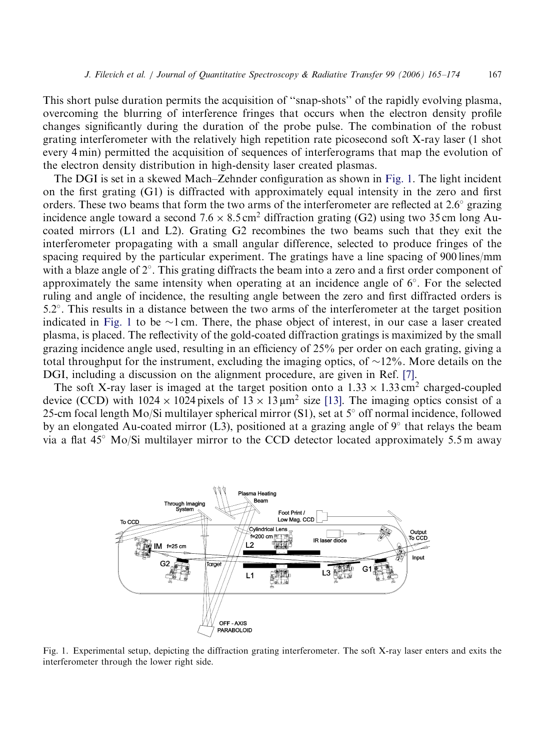This short pulse duration permits the acquisition of ''snap-shots'' of the rapidly evolving plasma, overcoming the blurring of interference fringes that occurs when the electron density profile changes significantly during the duration of the probe pulse. The combination of the robust grating interferometer with the relatively high repetition rate picosecond soft X-ray laser (1 shot every 4 min) permitted the acquisition of sequences of interferograms that map the evolution of the electron density distribution in high-density laser created plasmas.

The DGI is set in a skewed Mach–Zehnder configuration as shown in Fig. 1. The light incident on the first grating (G1) is diffracted with approximately equal intensity in the zero and first orders. These two beams that form the two arms of the interferometer are reflected at  $2.6^{\circ}$  grazing incidence angle toward a second  $7.6 \times 8.5 \text{ cm}^2$  diffraction grating (G2) using two 35 cm long Aucoated mirrors (L1 and L2). Grating G2 recombines the two beams such that they exit the interferometer propagating with a small angular difference, selected to produce fringes of the spacing required by the particular experiment. The gratings have a line spacing of 900 lines/mm with a blaze angle of  $2^{\circ}$ . This grating diffracts the beam into a zero and a first order component of approximately the same intensity when operating at an incidence angle of 6 . For the selected ruling and angle of incidence, the resulting angle between the zero and first diffracted orders is 5:2 . This results in a distance between the two arms of the interferometer at the target position indicated in Fig. 1 to be  $\sim$ 1 cm. There, the phase object of interest, in our case a laser created plasma, is placed. The reflectivity of the gold-coated diffraction gratings is maximized by the small grazing incidence angle used, resulting in an efficiency of 25% per order on each grating, giving a total throughput for the instrument, excluding the imaging optics, of  $\sim$ 12%. More details on the DGI, including a discussion on the alignment procedure, are given in Ref. [\[7\]](#page-9-0).

The soft X-ray laser is imaged at the target position onto a  $1.33 \times 1.33 \text{ cm}^2$  charged-coupled device (CCD) with  $1024 \times 1024$  pixels of  $13 \times 13 \mu m^2$  size [\[13\]](#page-9-0). The imaging optics consist of a 25-cm focal length Mo/Si multilayer spherical mirror (S1), set at  $5^{\circ}$  off normal incidence, followed by an elongated Au-coated mirror (L3), positioned at a grazing angle of  $9^{\circ}$  that relays the beam via a flat  $45^{\circ}$  Mo/Si multilayer mirror to the CCD detector located approximately 5.5 m away



Fig. 1. Experimental setup, depicting the diffraction grating interferometer. The soft X-ray laser enters and exits the interferometer through the lower right side.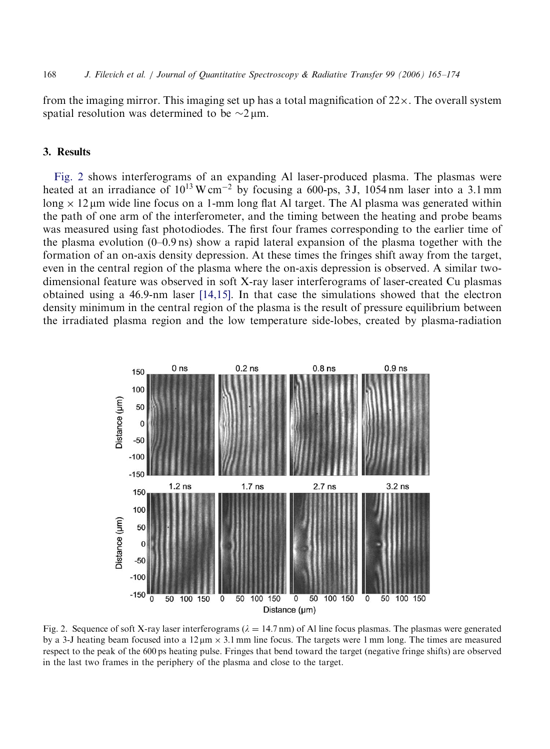<span id="page-3-0"></span>168 J. Filevich et al. / Journal of Quantitative Spectroscopy & Radiative Transfer 99 (2006) 165–174

from the imaging mirror. This imaging set up has a total magnification of  $22 \times$ . The overall system spatial resolution was determined to be  $\sim$ 2  $\mu$ m.

### 3. Results

Fig. 2 shows interferograms of an expanding Al laser-produced plasma. The plasmas were heated at an irradiance of  $10^{13}$  W cm<sup>-2</sup> by focusing a 600-ps, 3J, 1054 nm laser into a 3.1 mm long  $\times$  12 µm wide line focus on a 1-mm long flat Al target. The Al plasma was generated within the path of one arm of the interferometer, and the timing between the heating and probe beams was measured using fast photodiodes. The first four frames corresponding to the earlier time of the plasma evolution  $(0-0.9 \text{ ns})$  show a rapid lateral expansion of the plasma together with the formation of an on-axis density depression. At these times the fringes shift away from the target, even in the central region of the plasma where the on-axis depression is observed. A similar twodimensional feature was observed in soft X-ray laser interferograms of laser-created Cu plasmas obtained using a 46.9-nm laser [\[14,15\]](#page-9-0). In that case the simulations showed that the electron density minimum in the central region of the plasma is the result of pressure equilibrium between the irradiated plasma region and the low temperature side-lobes, created by plasma-radiation



Fig. 2. Sequence of soft X-ray laser interferograms ( $\lambda = 14.7$  nm) of Al line focus plasmas. The plasmas were generated by a 3-J heating beam focused into a  $12 \mu m \times 3.1$  mm line focus. The targets were 1 mm long. The times are measured respect to the peak of the 600 ps heating pulse. Fringes that bend toward the target (negative fringe shifts) are observed in the last two frames in the periphery of the plasma and close to the target.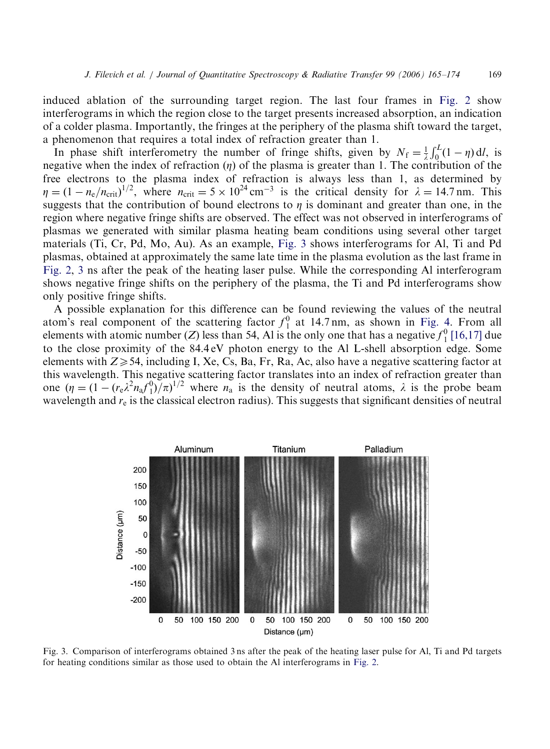induced ablation of the surrounding target region. The last four frames in [Fig. 2](#page-3-0) show interferograms in which the region close to the target presents increased absorption, an indication of a colder plasma. Importantly, the fringes at the periphery of the plasma shift toward the target, a phenomenon that requires a total index of refraction greater than 1.

In phase shift interferometry the number of fringe shifts, given by  $N_f = \frac{1}{\lambda}$  $\int_0^L (1 - \eta) \, \mathrm{d}l$ , is negative when the index of refraction  $(\eta)$  of the plasma is greater than 1. The contribution of the free electrons to the plasma index of refraction is always less than 1, as determined by  $\eta = (1 - n_e/n_{\text{crit}})^{1/2}$ , where  $n_{\text{crit}} = 5 \times 10^{24} \text{ cm}^{-3}$  is the critical density for  $\lambda = 14.7 \text{ nm}$ . This suggests that the contribution of bound electrons to  $\eta$  is dominant and greater than one, in the region where negative fringe shifts are observed. The effect was not observed in interferograms of plasmas we generated with similar plasma heating beam conditions using several other target materials (Ti, Cr, Pd, Mo, Au). As an example, Fig. 3 shows interferograms for Al, Ti and Pd plasmas, obtained at approximately the same late time in the plasma evolution as the last frame in [Fig. 2](#page-3-0), 3 ns after the peak of the heating laser pulse. While the corresponding Al interferogram shows negative fringe shifts on the periphery of the plasma, the Ti and Pd interferograms show only positive fringe shifts.

A possible explanation for this difference can be found reviewing the values of the neutral atom's real component of the scattering factor  $f_1^0$  at 14.7 nm, as shown in [Fig. 4](#page-5-0). From all elements with atomic number (Z) less than 54, Al is the only one that has a negative  $f_1^0$  [\[16,17\]](#page-9-0) due to the close proximity of the 84.4 eV photon energy to the Al L-shell absorption edge. Some elements with  $Z \geq 54$ , including I, Xe, Cs, Ba, Fr, Ra, Ac, also have a negative scattering factor at this wavelength. This negative scattering factor translates into an index of refraction greater than one  $(\eta = (1 - (r_e \lambda^2 n_a f_1^0)/\pi)^{1/2}$  where  $n_a$  is the density of neutral atoms,  $\lambda$  is the probe beam wavelength and  $r_{\rm e}$  is the classical electron radius). This suggests that significant densities of neutral



Fig. 3. Comparison of interferograms obtained 3 ns after the peak of the heating laser pulse for Al, Ti and Pd targets for heating conditions similar as those used to obtain the Al interferograms in [Fig. 2.](#page-3-0)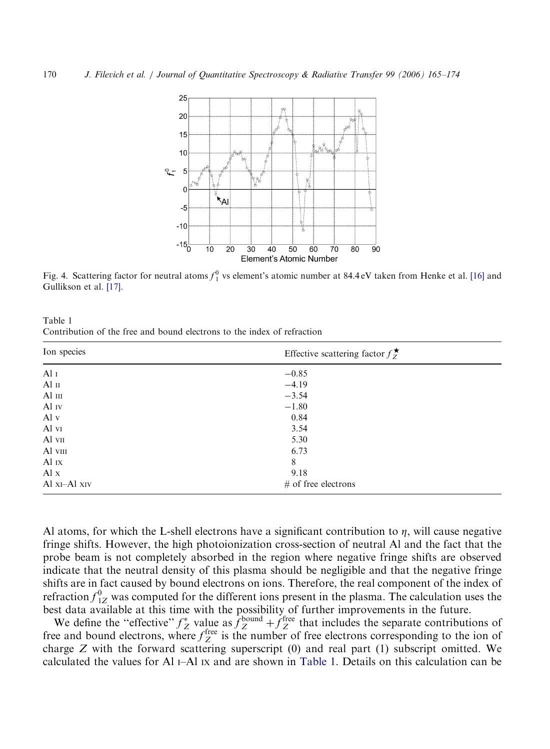<span id="page-5-0"></span>

Fig. 4. Scattering factor for neutral atoms  $f_1^0$  vs element's atomic number at 84.4 eV taken from Henke et al. [\[16\]](#page-9-0) and Gullikson et al. [\[17\]](#page-9-0).

| Table 1                                                                 |  |  |  |  |  |  |
|-------------------------------------------------------------------------|--|--|--|--|--|--|
| Contribution of the free and bound electrons to the index of refraction |  |  |  |  |  |  |

| Ion species             | Effective scattering factor $f_{Z}^{\star}$ |  |  |  |  |  |
|-------------------------|---------------------------------------------|--|--|--|--|--|
| Al $I$                  | $-0.85$                                     |  |  |  |  |  |
| Al $\scriptstyle\rm II$ | $-4.19$                                     |  |  |  |  |  |
| $Al$ $III$              | $-3.54$                                     |  |  |  |  |  |
| Al $_{\rm IV}$          | $-1.80$                                     |  |  |  |  |  |
| Al $v$                  | 0.84                                        |  |  |  |  |  |
| Al vi                   | 3.54                                        |  |  |  |  |  |
| $Al$ vii                | 5.30                                        |  |  |  |  |  |
| Al viii                 | 6.73                                        |  |  |  |  |  |
| Al IX                   | 8                                           |  |  |  |  |  |
| $\mathbf{A}$ l x        | 9.18                                        |  |  |  |  |  |
| Al xI-Al xIV            | $#$ of free electrons                       |  |  |  |  |  |

Al atoms, for which the L-shell electrons have a significant contribution to  $\eta$ , will cause negative fringe shifts. However, the high photoionization cross-section of neutral Al and the fact that the probe beam is not completely absorbed in the region where negative fringe shifts are observed indicate that the neutral density of this plasma should be negligible and that the negative fringe shifts are in fact caused by bound electrons on ions. Therefore, the real component of the index of refraction  $f_{1Z}^0$  was computed for the different ions present in the plasma. The calculation uses the best data available at this time with the possibility of further improvements in the future.

We define the "effective"  $f_Z^*$  value as  $f_Z^{\text{bound}} + f_Z^{\text{free}}$  that includes the separate contributions of free and bound electrons, where  $f_Z^{\text{free}}$  is the number of free electrons corresponding to the ion of charge Z with the forward scattering superscript (0) and real part (1) subscript omitted. We calculated the values for Al  $I-$ Al  $I \times$  and are shown in Table 1. Details on this calculation can be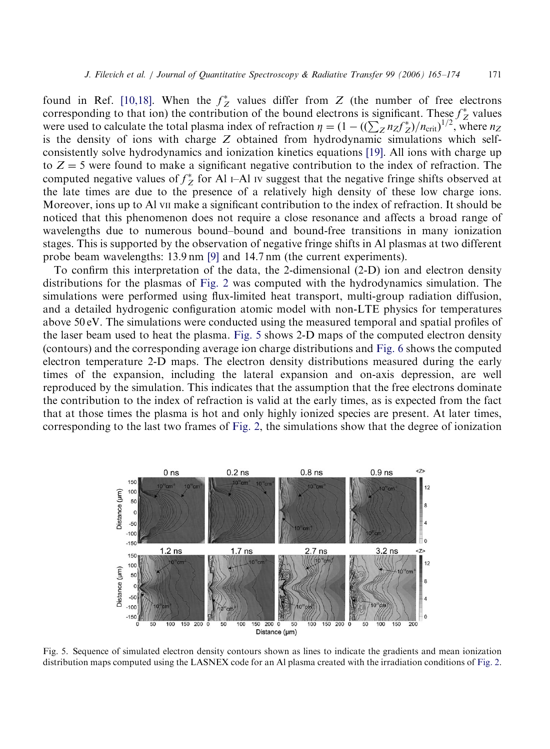<span id="page-6-0"></span>found in Ref. [\[10,18\]](#page-9-0). When the  $f_Z^*$  values differ from Z (the number of free electrons corresponding to that ion) the contribution of the bound electrons is significant. These  $f_Z^*$  values were used to calculate the total plasma index of refraction  $\eta = (1 - ((\sum_{Z} n_Z f_Z^*)/n_{\text{crit}})^{1/2})$ , where  $n_Z$ is the density of ions with charge  $Z$  obtained from hydrodynamic simulations which selfconsistently solve hydrodynamics and ionization kinetics equations [\[19\]](#page-9-0). All ions with charge up to  $Z = 5$  were found to make a significant negative contribution to the index of refraction. The computed negative values of  $f_Z^*$  for Al I–Al Iv suggest that the negative fringe shifts observed at the late times are due to the presence of a relatively high density of these low charge ions. Moreover, ions up to Al VII make a significant contribution to the index of refraction. It should be noticed that this phenomenon does not require a close resonance and affects a broad range of wavelengths due to numerous bound–bound and bound-free transitions in many ionization stages. This is supported by the observation of negative fringe shifts in Al plasmas at two different probe beam wavelengths: 13.9 nm [\[9\]](#page-9-0) and 14.7 nm (the current experiments).

To confirm this interpretation of the data, the 2-dimensional (2-D) ion and electron density distributions for the plasmas of [Fig. 2](#page-3-0) was computed with the hydrodynamics simulation. The simulations were performed using flux-limited heat transport, multi-group radiation diffusion, and a detailed hydrogenic configuration atomic model with non-LTE physics for temperatures above 50 eV. The simulations were conducted using the measured temporal and spatial profiles of the laser beam used to heat the plasma. Fig. 5 shows 2-D maps of the computed electron density (contours) and the corresponding average ion charge distributions and [Fig. 6](#page-7-0) shows the computed electron temperature 2-D maps. The electron density distributions measured during the early times of the expansion, including the lateral expansion and on-axis depression, are well reproduced by the simulation. This indicates that the assumption that the free electrons dominate the contribution to the index of refraction is valid at the early times, as is expected from the fact that at those times the plasma is hot and only highly ionized species are present. At later times, corresponding to the last two frames of [Fig. 2](#page-3-0), the simulations show that the degree of ionization



Fig. 5. Sequence of simulated electron density contours shown as lines to indicate the gradients and mean ionization distribution maps computed using the LASNEX code for an Al plasma created with the irradiation conditions of [Fig. 2](#page-3-0).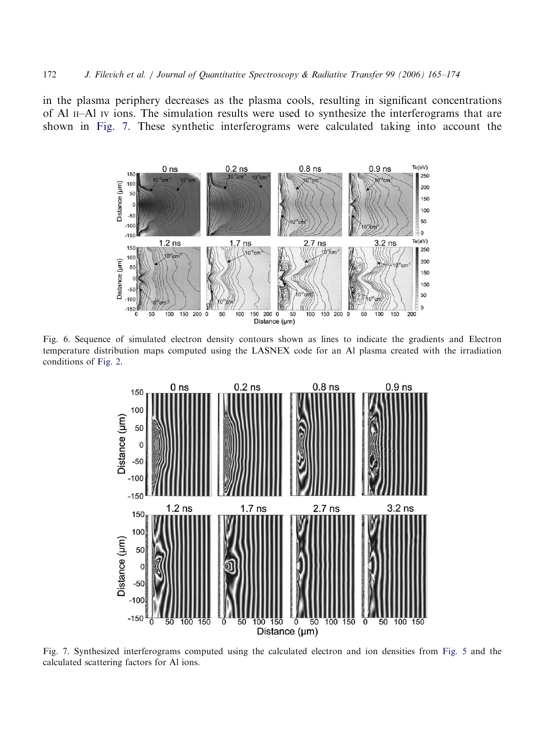<span id="page-7-0"></span>in the plasma periphery decreases as the plasma cools, resulting in significant concentrations of Al II–Al IV ions. The simulation results were used to synthesize the interferograms that are shown in Fig. 7. These synthetic interferograms were calculated taking into account the



Fig. 6. Sequence of simulated electron density contours shown as lines to indicate the gradients and Electron temperature distribution maps computed using the LASNEX code for an Al plasma created with the irradiation conditions of [Fig. 2](#page-3-0).



Fig. 7. Synthesized interferograms computed using the calculated electron and ion densities from [Fig. 5](#page-6-0) and the calculated scattering factors for Al ions.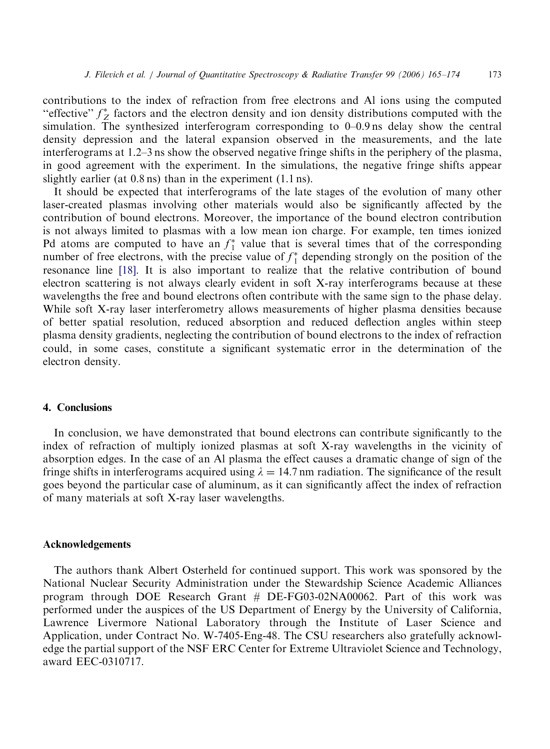contributions to the index of refraction from free electrons and Al ions using the computed "effective"  $f_Z^*$  factors and the electron density and ion density distributions computed with the simulation. The synthesized interferogram corresponding to 0–0.9 ns delay show the central density depression and the lateral expansion observed in the measurements, and the late interferograms at 1.2–3 ns show the observed negative fringe shifts in the periphery of the plasma, in good agreement with the experiment. In the simulations, the negative fringe shifts appear slightly earlier (at 0.8 ns) than in the experiment (1.1 ns).

It should be expected that interferograms of the late stages of the evolution of many other laser-created plasmas involving other materials would also be significantly affected by the contribution of bound electrons. Moreover, the importance of the bound electron contribution is not always limited to plasmas with a low mean ion charge. For example, ten times ionized Pd atoms are computed to have an  $f_1^*$  value that is several times that of the corresponding number of free electrons, with the precise value of  $f_1^*$  depending strongly on the position of the resonance line [\[18\].](#page-9-0) It is also important to realize that the relative contribution of bound electron scattering is not always clearly evident in soft X-ray interferograms because at these wavelengths the free and bound electrons often contribute with the same sign to the phase delay. While soft X-ray laser interferometry allows measurements of higher plasma densities because of better spatial resolution, reduced absorption and reduced deflection angles within steep plasma density gradients, neglecting the contribution of bound electrons to the index of refraction could, in some cases, constitute a significant systematic error in the determination of the electron density.

# 4. Conclusions

In conclusion, we have demonstrated that bound electrons can contribute significantly to the index of refraction of multiply ionized plasmas at soft X-ray wavelengths in the vicinity of absorption edges. In the case of an Al plasma the effect causes a dramatic change of sign of the fringe shifts in interferograms acquired using  $\lambda = 14.7$  nm radiation. The significance of the result goes beyond the particular case of aluminum, as it can significantly affect the index of refraction of many materials at soft X-ray laser wavelengths.

#### Acknowledgements

The authors thank Albert Osterheld for continued support. This work was sponsored by the National Nuclear Security Administration under the Stewardship Science Academic Alliances program through DOE Research Grant # DE-FG03-02NA00062. Part of this work was performed under the auspices of the US Department of Energy by the University of California, Lawrence Livermore National Laboratory through the Institute of Laser Science and Application, under Contract No. W-7405-Eng-48. The CSU researchers also gratefully acknowledge the partial support of the NSF ERC Center for Extreme Ultraviolet Science and Technology, award EEC-0310717.